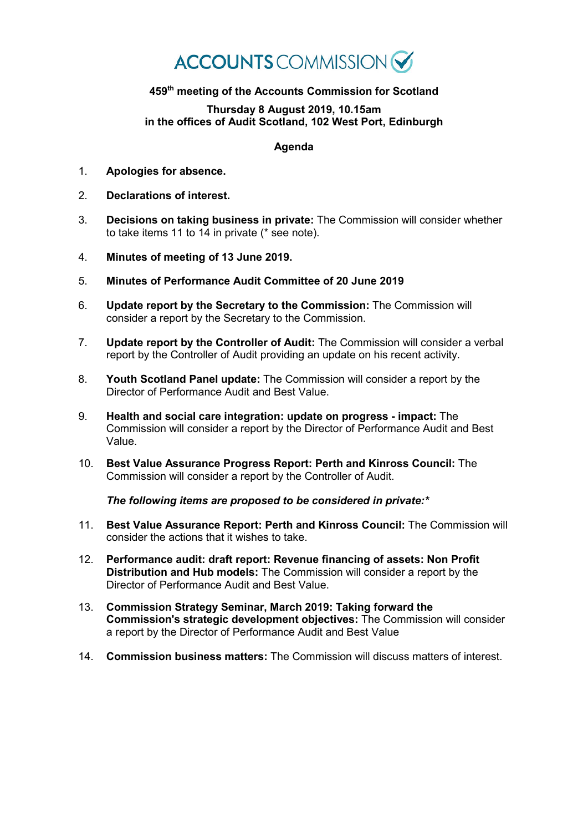## **ACCOUNTS** COMMISSION

## **459th meeting of the Accounts Commission for Scotland**

## **Thursday 8 August 2019, 10.15am in the offices of Audit Scotland, 102 West Port, Edinburgh**

## **Agenda**

- 1. **Apologies for absence.**
- 2. **Declarations of interest.**
- 3. **Decisions on taking business in private:** The Commission will consider whether to take items 11 to 14 in private (\* see note).
- 4. **Minutes of meeting of 13 June 2019.**
- 5. **Minutes of Performance Audit Committee of 20 June 2019**
- 6. **Update report by the Secretary to the Commission:** The Commission will consider a report by the Secretary to the Commission.
- 7. **Update report by the Controller of Audit:** The Commission will consider a verbal report by the Controller of Audit providing an update on his recent activity.
- 8. **Youth Scotland Panel update:** The Commission will consider a report by the Director of Performance Audit and Best Value.
- 9. **Health and social care integration: update on progress - impact:** The Commission will consider a report by the Director of Performance Audit and Best Value.
- 10. **Best Value Assurance Progress Report: Perth and Kinross Council:** The Commission will consider a report by the Controller of Audit.

*The following items are proposed to be considered in private:\**

- 11. **Best Value Assurance Report: Perth and Kinross Council:** The Commission will consider the actions that it wishes to take.
- 12. **Performance audit: draft report: Revenue financing of assets: Non Profit Distribution and Hub models:** The Commission will consider a report by the Director of Performance Audit and Best Value.
- 13. **Commission Strategy Seminar, March 2019: Taking forward the Commission's strategic development objectives:** The Commission will consider a report by the Director of Performance Audit and Best Value
- 14. **Commission business matters:** The Commission will discuss matters of interest.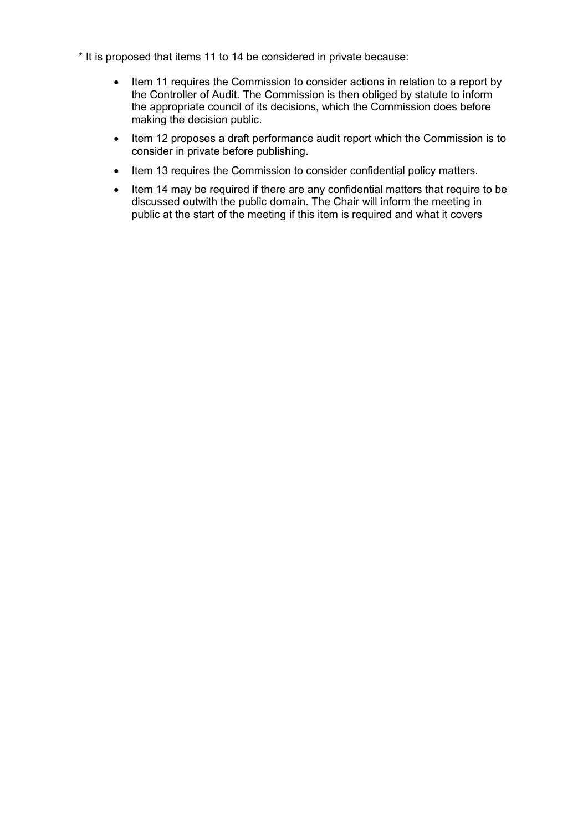- \* It is proposed that items 11 to 14 be considered in private because:
	- Item 11 requires the Commission to consider actions in relation to a report by the Controller of Audit. The Commission is then obliged by statute to inform the appropriate council of its decisions, which the Commission does before making the decision public.
	- Item 12 proposes a draft performance audit report which the Commission is to consider in private before publishing.
	- Item 13 requires the Commission to consider confidential policy matters.
	- Item 14 may be required if there are any confidential matters that require to be discussed outwith the public domain. The Chair will inform the meeting in public at the start of the meeting if this item is required and what it covers